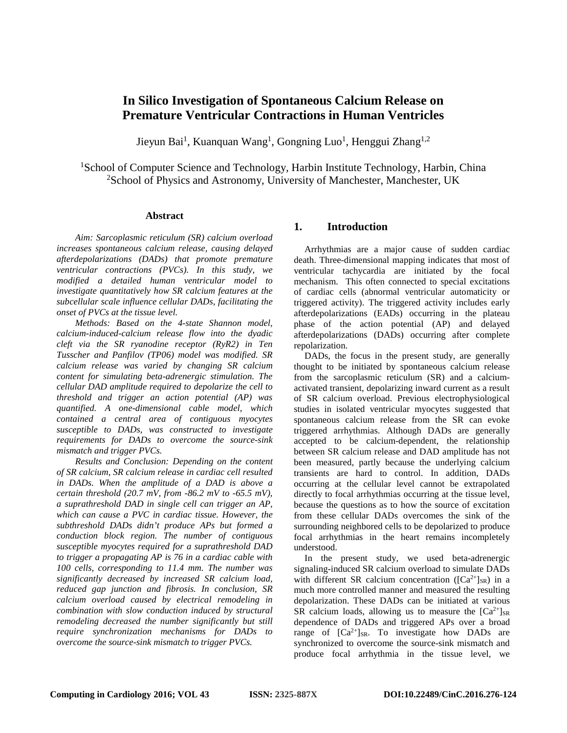# **In Silico Investigation of Spontaneous Calcium Release on Premature Ventricular Contractions in Human Ventricles**

Jieyun Bai<sup>1</sup>, Kuanquan Wang<sup>1</sup>, Gongning Luo<sup>1</sup>, Henggui Zhang<sup>1,2</sup>

<sup>1</sup>School of Computer Science and Technology, Harbin Institute Technology, Harbin, China <sup>2</sup>School of Physics and Astronomy, University of Manchester, Manchester, UK

### **Abstract**

*Aim: Sarcoplasmic reticulum (SR) calcium overload increases spontaneous calcium release, causing delayed afterdepolarizations (DADs) that promote premature ventricular contractions (PVCs). In this study, we modified a detailed human ventricular model to investigate quantitatively how SR calcium features at the subcellular scale influence cellular DADs, facilitating the onset of PVCs at the tissue level.* 

*Methods: Based on the 4-state Shannon model, calcium-induced-calcium release flow into the dyadic cleft via the SR ryanodine receptor (RyR2) in Ten Tusscher and Panfilov (TP06) model was modified. SR calcium release was varied by changing SR calcium content for simulating beta-adrenergic stimulation. The cellular DAD amplitude required to depolarize the cell to threshold and trigger an action potential (AP) was quantified. A one-dimensional cable model, which contained a central area of contiguous myocytes susceptible to DADs, was constructed to investigate requirements for DADs to overcome the source-sink mismatch and trigger PVCs.* 

*Results and Conclusion: Depending on the content of SR calcium, SR calcium release in cardiac cell resulted in DADs. When the amplitude of a DAD is above a certain threshold (20.7 mV, from -86.2 mV to -65.5 mV), a suprathreshold DAD in single cell can trigger an AP, which can cause a PVC in cardiac tissue. However, the subthreshold DADs didn't produce APs but formed a conduction block region. The number of contiguous susceptible myocytes required for a suprathreshold DAD to trigger a propagating AP is 76 in a cardiac cable with 100 cells, corresponding to 11.4 mm. The number was significantly decreased by increased SR calcium load, reduced gap junction and fibrosis. In conclusion, SR calcium overload caused by electrical remodeling in combination with slow conduction induced by structural remodeling decreased the number significantly but still require synchronization mechanisms for DADs to overcome the source-sink mismatch to trigger PVCs.*

## **1. Introduction**

Arrhythmias are a major cause of sudden cardiac death. Three-dimensional mapping indicates that most of ventricular tachycardia are initiated by the focal mechanism. This often connected to special excitations of cardiac cells (abnormal ventricular automaticity or triggered activity). The triggered activity includes early afterdepolarizations (EADs) occurring in the plateau phase of the action potential (AP) and delayed afterdepolarizations (DADs) occurring after complete repolarization.

DADs, the focus in the present study, are generally thought to be initiated by spontaneous calcium release from the sarcoplasmic reticulum (SR) and a calciumactivated transient, depolarizing inward current as a result of SR calcium overload. Previous electrophysiological studies in isolated ventricular myocytes suggested that spontaneous calcium release from the SR can evoke triggered arrhythmias. Although DADs are generally accepted to be calcium-dependent, the relationship between SR calcium release and DAD amplitude has not been measured, partly because the underlying calcium transients are hard to control. In addition, DADs occurring at the cellular level cannot be extrapolated directly to focal arrhythmias occurring at the tissue level, because the questions as to how the source of excitation from these cellular DADs overcomes the sink of the surrounding neighbored cells to be depolarized to produce focal arrhythmias in the heart remains incompletely understood.

In the present study, we used beta-adrenergic signaling-induced SR calcium overload to simulate DADs with different SR calcium concentration ( $[Ca^{2+}]_{SR}$ ) in a much more controlled manner and measured the resulting depolarization. These DADs can be initiated at various SR calcium loads, allowing us to measure the  $[Ca^{2+}]_{SR}$ dependence of DADs and triggered APs over a broad range of  $[Ca^{2+}]_{SR}$ . To investigate how DADs are synchronized to overcome the source-sink mismatch and produce focal arrhythmia in the tissue level, we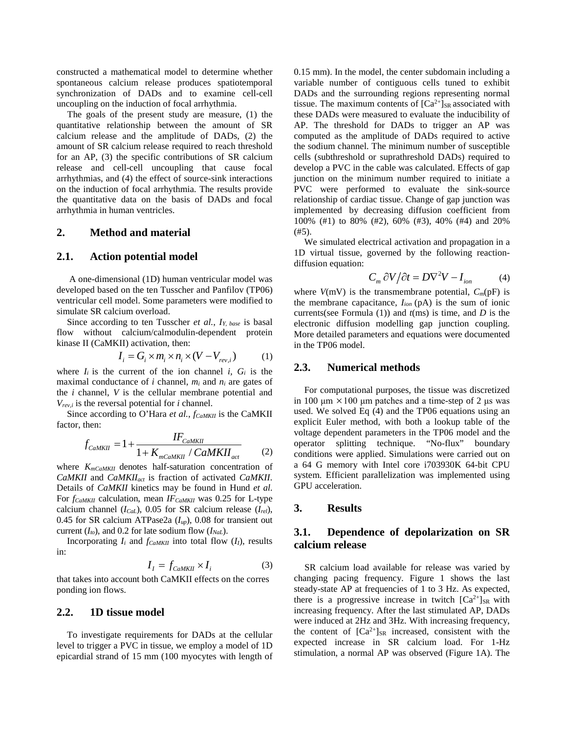constructed a mathematical model to determine whether spontaneous calcium release produces spatiotemporal synchronization of DADs and to examine cell-cell uncoupling on the induction of focal arrhythmia.

The goals of the present study are measure, (1) the quantitative relationship between the amount of SR calcium release and the amplitude of DADs, (2) the amount of SR calcium release required to reach threshold for an AP, (3) the specific contributions of SR calcium release and cell-cell uncoupling that cause focal arrhythmias, and (4) the effect of source-sink interactions on the induction of focal arrhythmia. The results provide the quantitative data on the basis of DADs and focal arrhythmia in human ventricles.

#### **2. Method and material**

### **2.1. Action potential model**

A one-dimensional (1D) human ventricular model was developed based on the ten Tusscher and Panfilov (TP06) ventricular cell model. Some parameters were modified to simulate SR calcium overload.

Since according to ten Tusscher *et al.*, *IY, base* is basal flow without calcium/calmodulin-dependent protein kinase II (CaMKII) activation, then:

$$
I_i = G_i \times m_i \times n_i \times (V - V_{rev,i})
$$
 (1)

where  $I_i$  is the current of the ion channel  $i$ ,  $G_i$  is the maximal conductance of *i* channel, *mi* and *ni* are gates of the *i* channel, *V* is the cellular membrane potential and *Vrev,i* is the reversal potential for *i* channel.

Since according to O'Hara *et al.*, *f<sub>CaMKII</sub>* is the CaMKII factor, then:

$$
f_{CaMKII} = 1 + \frac{IF_{CaMKII}}{1 + K_{mCaMKII} / CaMKII_{act}}
$$
 (2)

where *KmCaMKII* denotes half-saturation concentration of *CaMKII* and *CaMKIIact* is fraction of activated *CaMKII*. Details of *CaMKII* kinetics may be found in Hund *et al*. For  $f_{CaMKII}$  calculation, mean *IF<sub>CaMKII</sub>* was 0.25 for L-type calcium channel (*ICaL*), 0.05 for SR calcium release (*Irel*), 0.45 for SR calcium ATPase2a (*Iup*), 0.08 for transient out current  $(I_{to})$ , and 0.2 for late sodium flow  $(I_{NaL})$ .

Incorporating  $I_i$  and  $f_{CaMKII}$  into total flow  $(I_i)$ , results in:

$$
I_{I} = f_{CaMKII} \times I_{i}
$$
 (3)

that takes into account both CaMKII effects on the corres ponding ion flows.

### **2.2. 1D tissue model**

To investigate requirements for DADs at the cellular level to trigger a PVC in tissue, we employ a model of 1D epicardial strand of 15 mm (100 myocytes with length of 0.15 mm). In the model, the center subdomain including a variable number of contiguous cells tuned to exhibit DADs and the surrounding regions representing normal tissue. The maximum contents of  $[Ca^{2+}]_{SR}$  associated with these DADs were measured to evaluate the inducibility of AP. The threshold for DADs to trigger an AP was computed as the amplitude of DADs required to active the sodium channel. The minimum number of susceptible cells (subthreshold or suprathreshold DADs) required to develop a PVC in the cable was calculated. Effects of gap junction on the minimum number required to initiate a PVC were performed to evaluate the sink-source relationship of cardiac tissue. Change of gap junction was implemented by decreasing diffusion coefficient from 100% (#1) to 80% (#2), 60% (#3), 40% (#4) and 20% (#5).

We simulated electrical activation and propagation in a 1D virtual tissue, governed by the following reactiondiffusion equation:

$$
C_m \partial V / \partial t = D \nabla^2 V - I_{ion} \tag{4}
$$

where  $V(mV)$  is the transmembrane potential,  $C_m(pF)$  is the membrane capacitance,  $I_{ion}$   $(pA)$  is the sum of ionic currents(see Formula (1)) and *t*(ms) is time, and *D* is the electronic diffusion modelling gap junction coupling. More detailed parameters and equations were documented in the TP06 model.

### **2.3. Numerical methods**

For computational purposes, the tissue was discretized in 100 μm  $\times$  100 μm patches and a time-step of 2 μs was used. We solved Eq (4) and the TP06 equations using an explicit Euler method, with both a lookup table of the voltage dependent parameters in the TP06 model and the operator splitting technique. "No-flux" boundary conditions were applied. Simulations were carried out on a 64 G memory with Intel core i703930K 64-bit CPU system. Efficient parallelization was implemented using GPU acceleration.

### **3. Results**

## **3.1. Dependence of depolarization on SR calcium release**

SR calcium load available for release was varied by changing pacing frequency. Figure 1 shows the last steady-state AP at frequencies of 1 to 3 Hz. As expected, there is a progressive increase in twitch  $[Ca^{2+}]_{SR}$  with increasing frequency. After the last stimulated AP, DADs were induced at 2Hz and 3Hz. With increasing frequency, the content of  $[Ca^{2+}]_{SR}$  increased, consistent with the expected increase in SR calcium load. For 1-Hz stimulation, a normal AP was observed (Figure 1A). The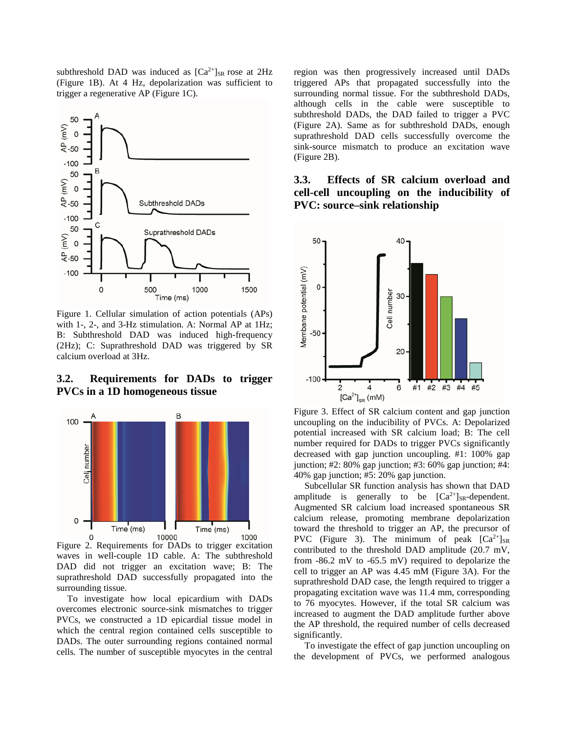subthreshold DAD was induced as  $[Ca^{2+}]_{SR}$  rose at 2Hz (Figure 1B). At 4 Hz, depolarization was sufficient to trigger a regenerative AP (Figure 1C).



Figure 1. Cellular simulation of action potentials (APs) with 1-, 2-, and 3-Hz stimulation. A: Normal AP at 1Hz; B: Subthreshold DAD was induced high-frequency (2Hz); C: Suprathreshold DAD was triggered by SR calcium overload at 3Hz.

## **3.2. Requirements for DADs to trigger PVCs in a 1D homogeneous tissue**



Figure 2. Requirements for DADs to trigger excitation waves in well-couple 1D cable. A: The subthreshold DAD did not trigger an excitation wave; B: The suprathreshold DAD successfully propagated into the surrounding tissue.

To investigate how local epicardium with DADs overcomes electronic source-sink mismatches to trigger PVCs, we constructed a 1D epicardial tissue model in which the central region contained cells susceptible to DADs. The outer surrounding regions contained normal cells. The number of susceptible myocytes in the central region was then progressively increased until DADs triggered APs that propagated successfully into the surrounding normal tissue. For the subthreshold DADs, although cells in the cable were susceptible to subthreshold DADs, the DAD failed to trigger a PVC (Figure 2A). Same as for subthreshold DADs, enough suprathreshold DAD cells successfully overcome the sink-source mismatch to produce an excitation wave (Figure 2B).

## **3.3. Effects of SR calcium overload and cell-cell uncoupling on the inducibility of PVC: source–sink relationship**



Figure 3. Effect of SR calcium content and gap junction uncoupling on the inducibility of PVCs. A: Depolarized potential increased with SR calcium load; B: The cell number required for DADs to trigger PVCs significantly decreased with gap junction uncoupling. #1: 100% gap junction; #2: 80% gap junction; #3: 60% gap junction; #4: 40% gap junction; #5: 20% gap junction.

Subcellular SR function analysis has shown that DAD amplitude is generally to be  $[Ca^{2+}]_{SR}$ -dependent. Augmented SR calcium load increased spontaneous SR calcium release, promoting membrane depolarization toward the threshold to trigger an AP, the precursor of PVC (Figure 3). The minimum of peak  $[Ca^{2+}]_{SR}$ contributed to the threshold DAD amplitude (20.7 mV, from -86.2 mV to -65.5 mV) required to depolarize the cell to trigger an AP was 4.45 mM (Figure 3A). For the suprathreshold DAD case, the length required to trigger a propagating excitation wave was 11.4 mm, corresponding to 76 myocytes. However, if the total SR calcium was increased to augment the DAD amplitude further above the AP threshold, the required number of cells decreased significantly.

To investigate the effect of gap junction uncoupling on the development of PVCs, we performed analogous